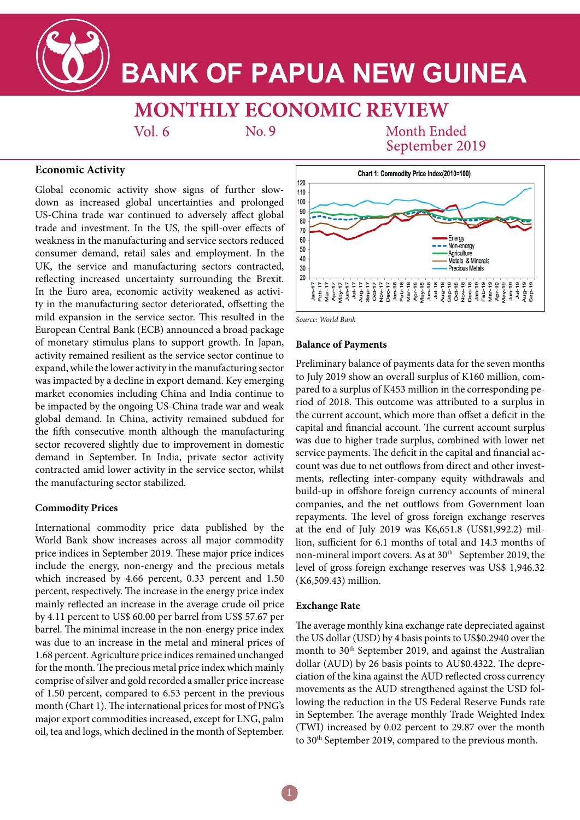

# **BANK OF PAPUA NEW GUINEA**

## **MONTHLY ECONOMIC REVIEW**

 $Vol<sub>6</sub>$ 

 $No.9$ 

**Month Ended** September 2019

### **Economic Activity**

Global economic activity show signs of further slowdown as increased global uncertainties and prolonged US-China trade war continued to adversely affect global trade and investment. In the US, the spill-over effects of weakness in the manufacturing and service sectors reduced consumer demand, retail sales and employment. In the UK, the service and manufacturing sectors contracted, reflecting increased uncertainty surrounding the Brexit. In the Euro area, economic activity weakened as activity in the manufacturing sector deteriorated, offsetting the mild expansion in the service sector. This resulted in the European Central Bank (ECB) announced a broad package of monetary stimulus plans to support growth. In Japan, activity remained resilient as the service sector continue to expand, while the lower activity in the manufacturing sector was impacted by a decline in export demand. Key emerging market economies including China and India continue to be impacted by the ongoing US-China trade war and weak global demand. In China, activity remained subdued for the fifth consecutive month although the manufacturing sector recovered slightly due to improvement in domestic demand in September. In India, private sector activity contracted amid lower activity in the service sector, whilst the manufacturing sector stabilized.

### **Commodity Prices**

International commodity price data published by the World Bank show increases across all major commodity price indices in September 2019. These major price indices include the energy, non-energy and the precious metals which increased by 4.66 percent, 0.33 percent and 1.50 percent, respectively. The increase in the energy price index mainly reflected an increase in the average crude oil price by 4.11 percent to US\$ 60.00 per barrel from US\$ 57.67 per barrel. The minimal increase in the non-energy price index was due to an increase in the metal and mineral prices of 1.68 percent. Agriculture price indices remained unchanged for the month. The precious metal price index which mainly comprise of silver and gold recorded a smaller price increase of 1.50 percent, compared to 6.53 percent in the previous month (Chart 1). The international prices for most of PNG's major export commodities increased, except for LNG, palm oil, tea and logs, which declined in the month of September.



*Source: World Bank*

### **Balance of Payments**

Preliminary balance of payments data for the seven months to July 2019 show an overall surplus of K160 million, compared to a surplus of K453 million in the corresponding period of 2018. This outcome was attributed to a surplus in the current account, which more than offset a deficit in the capital and financial account. The current account surplus was due to higher trade surplus, combined with lower net service payments. The deficit in the capital and financial account was due to net outflows from direct and other investments, reflecting inter-company equity withdrawals and build-up in offshore foreign currency accounts of mineral companies, and the net outflows from Government loan repayments. The level of gross foreign exchange reserves at the end of July 2019 was K6,651.8 (US\$1,992.2) million, sufficient for 6.1 months of total and 14.3 months of non-mineral import covers. As at 30<sup>th</sup> September 2019, the level of gross foreign exchange reserves was US\$ 1,946.32 (K6,509.43) million.

### **Exchange Rate**

The average monthly kina exchange rate depreciated against the US dollar (USD) by 4 basis points to US\$0.2940 over the month to 30<sup>th</sup> September 2019, and against the Australian dollar (AUD) by 26 basis points to AU\$0.4322. The depreciation of the kina against the AUD reflected cross currency movements as the AUD strengthened against the USD following the reduction in the US Federal Reserve Funds rate in September. The average monthly Trade Weighted Index (TWI) increased by 0.02 percent to 29.87 over the month to 30<sup>th</sup> September 2019, compared to the previous month.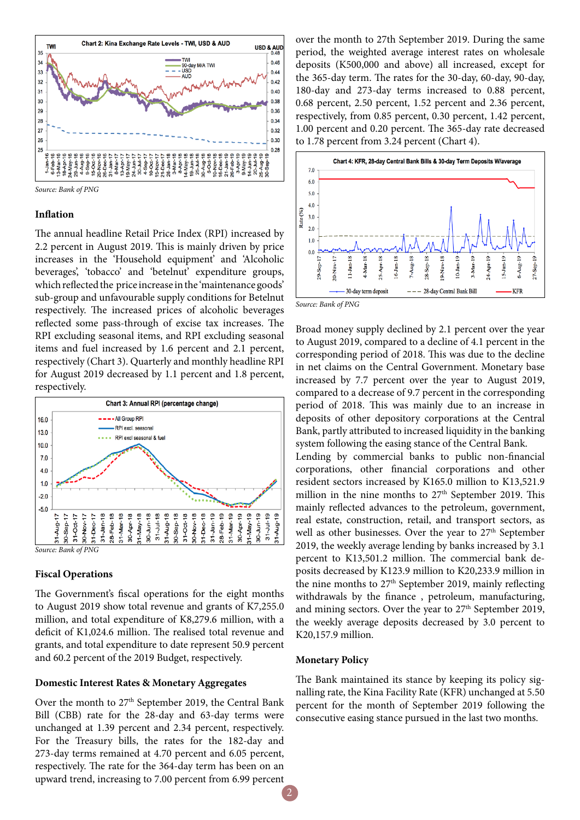

### **Inflation**

The annual headline Retail Price Index (RPI) increased by 2.2 percent in August 2019. This is mainly driven by price increases in the 'Household equipment' and 'Alcoholic beverages', 'tobacco' and 'betelnut' expenditure groups, which reflected the price increase in the 'maintenance goods' sub-group and unfavourable supply conditions for Betelnut respectively. The increased prices of alcoholic beverages reflected some pass-through of excise tax increases. The RPI excluding seasonal items, and RPI excluding seasonal items and fuel increased by 1.6 percent and 2.1 percent, respectively (Chart 3). Quarterly and monthly headline RPI for August 2019 decreased by 1.1 percent and 1.8 percent, respectively.



### **Fiscal Operations**

The Government's fiscal operations for the eight months to August 2019 show total revenue and grants of K7,255.0 million, and total expenditure of K8,279.6 million, with a deficit of K1,024.6 million. The realised total revenue and grants, and total expenditure to date represent 50.9 percent and 60.2 percent of the 2019 Budget, respectively.

### **Domestic Interest Rates & Monetary Aggregates**

Over the month to 27<sup>th</sup> September 2019, the Central Bank Bill (CBB) rate for the 28-day and 63-day terms were unchanged at 1.39 percent and 2.34 percent, respectively. For the Treasury bills, the rates for the 182-day and 273-day terms remained at 4.70 percent and 6.05 percent, respectively. The rate for the 364-day term has been on an upward trend, increasing to 7.00 percent from 6.99 percent

over the month to 27th September 2019. During the same period, the weighted average interest rates on wholesale deposits (K500,000 and above) all increased, except for the 365-day term. The rates for the 30-day, 60-day, 90-day, 180-day and 273-day terms increased to 0.88 percent, 0.68 percent, 2.50 percent, 1.52 percent and 2.36 percent, respectively, from 0.85 percent, 0.30 percent, 1.42 percent, 1.00 percent and 0.20 percent. The 365-day rate decreased to 1.78 percent from 3.24 percent (Chart 4).



Broad money supply declined by 2.1 percent over the year to August 2019, compared to a decline of 4.1 percent in the corresponding period of 2018. This was due to the decline in net claims on the Central Government. Monetary base increased by 7.7 percent over the year to August 2019, compared to a decrease of 9.7 percent in the corresponding period of 2018. This was mainly due to an increase in deposits of other depository corporations at the Central Bank, partly attributed to increased liquidity in the banking system following the easing stance of the Central Bank. Lending by commercial banks to public non-financial

corporations, other financial corporations and other resident sectors increased by K165.0 million to K13,521.9 million in the nine months to  $27<sup>th</sup>$  September 2019. This mainly reflected advances to the petroleum, government, real estate, construction, retail, and transport sectors, as well as other businesses. Over the year to 27<sup>th</sup> September 2019, the weekly average lending by banks increased by 3.1 percent to K13,501.2 million. The commercial bank deposits decreased by K123.9 million to K20,233.9 million in the nine months to 27<sup>th</sup> September 2019, mainly reflecting withdrawals by the finance , petroleum, manufacturing, and mining sectors. Over the year to  $27<sup>th</sup>$  September 2019, the weekly average deposits decreased by 3.0 percent to K20,157.9 million.

### **Monetary Policy**

The Bank maintained its stance by keeping its policy signalling rate, the Kina Facility Rate (KFR) unchanged at 5.50 percent for the month of September 2019 following the consecutive easing stance pursued in the last two months.

2